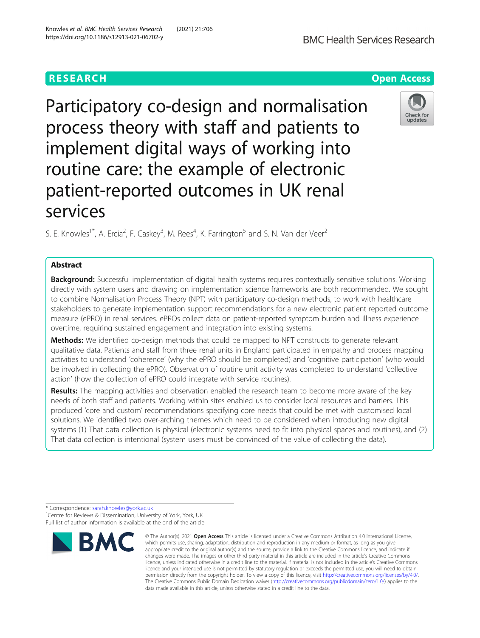Participatory co-design and normalisation process theory with staff and patients to implement digital ways of working into routine care: the example of electronic patient-reported outcomes in UK renal services

S. E. Knowles<sup>1\*</sup>, A. Ercia<sup>2</sup>, F. Caskey<sup>3</sup>, M. Rees<sup>4</sup>, K. Farrington<sup>5</sup> and S. N. Van der Veer<sup>2</sup>

# Abstract

Background: Successful implementation of digital health systems requires contextually sensitive solutions. Working directly with system users and drawing on implementation science frameworks are both recommended. We sought to combine Normalisation Process Theory (NPT) with participatory co-design methods, to work with healthcare stakeholders to generate implementation support recommendations for a new electronic patient reported outcome measure (ePRO) in renal services. ePROs collect data on patient-reported symptom burden and illness experience overtime, requiring sustained engagement and integration into existing systems.

Methods: We identified co-design methods that could be mapped to NPT constructs to generate relevant qualitative data. Patients and staff from three renal units in England participated in empathy and process mapping activities to understand 'coherence' (why the ePRO should be completed) and 'cognitive participation' (who would be involved in collecting the ePRO). Observation of routine unit activity was completed to understand 'collective action' (how the collection of ePRO could integrate with service routines).

Results: The mapping activities and observation enabled the research team to become more aware of the key needs of both staff and patients. Working within sites enabled us to consider local resources and barriers. This produced 'core and custom' recommendations specifying core needs that could be met with customised local solutions. We identified two over-arching themes which need to be considered when introducing new digital systems (1) That data collection is physical (electronic systems need to fit into physical spaces and routines), and (2) That data collection is intentional (system users must be convinced of the value of collecting the data).



Check for undate



<sup>©</sup> The Author(s), 2021 **Open Access** This article is licensed under a Creative Commons Attribution 4.0 International License, which permits use, sharing, adaptation, distribution and reproduction in any medium or format, as long as you give appropriate credit to the original author(s) and the source, provide a link to the Creative Commons licence, and indicate if changes were made. The images or other third party material in this article are included in the article's Creative Commons licence, unless indicated otherwise in a credit line to the material. If material is not included in the article's Creative Commons licence and your intended use is not permitted by statutory regulation or exceeds the permitted use, you will need to obtain permission directly from the copyright holder. To view a copy of this licence, visit [http://creativecommons.org/licenses/by/4.0/.](http://creativecommons.org/licenses/by/4.0/) The Creative Commons Public Domain Dedication waiver [\(http://creativecommons.org/publicdomain/zero/1.0/](http://creativecommons.org/publicdomain/zero/1.0/)) applies to the data made available in this article, unless otherwise stated in a credit line to the data.

<sup>\*</sup> Correspondence: [sarah.knowles@york.ac.uk](mailto:sarah.knowles@york.ac.uk) <sup>1</sup> <sup>1</sup>Centre for Reviews & Dissemination, University of York, York, UK Full list of author information is available at the end of the article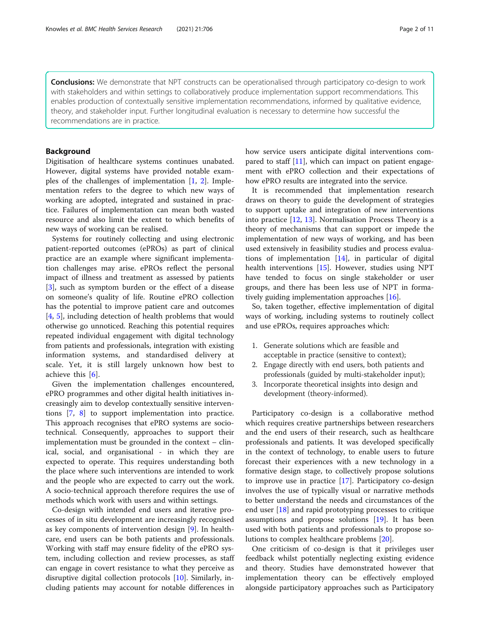**Conclusions:** We demonstrate that NPT constructs can be operationalised through participatory co-design to work with stakeholders and within settings to collaboratively produce implementation support recommendations. This enables production of contextually sensitive implementation recommendations, informed by qualitative evidence, theory, and stakeholder input. Further longitudinal evaluation is necessary to determine how successful the recommendations are in practice.

### Background

Digitisation of healthcare systems continues unabated. However, digital systems have provided notable examples of the challenges of implementation  $[1, 2]$  $[1, 2]$  $[1, 2]$ . Implementation refers to the degree to which new ways of working are adopted, integrated and sustained in practice. Failures of implementation can mean both wasted resource and also limit the extent to which benefits of new ways of working can be realised.

Systems for routinely collecting and using electronic patient-reported outcomes (ePROs) as part of clinical practice are an example where significant implementation challenges may arise. ePROs reflect the personal impact of illness and treatment as assessed by patients [[3\]](#page-9-0), such as symptom burden or the effect of a disease on someone's quality of life. Routine ePRO collection has the potential to improve patient care and outcomes [[4,](#page-9-0) [5\]](#page-9-0), including detection of health problems that would otherwise go unnoticed. Reaching this potential requires repeated individual engagement with digital technology from patients and professionals, integration with existing information systems, and standardised delivery at scale. Yet, it is still largely unknown how best to achieve this [[6\]](#page-9-0).

Given the implementation challenges encountered, ePRO programmes and other digital health initiatives increasingly aim to develop contextually sensitive interventions [[7,](#page-9-0) [8](#page-9-0)] to support implementation into practice. This approach recognises that ePRO systems are sociotechnical. Consequently, approaches to support their implementation must be grounded in the context – clinical, social, and organisational - in which they are expected to operate. This requires understanding both the place where such interventions are intended to work and the people who are expected to carry out the work. A socio-technical approach therefore requires the use of methods which work with users and within settings.

Co-design with intended end users and iterative processes of in situ development are increasingly recognised as key components of intervention design [\[9](#page-9-0)]. In healthcare, end users can be both patients and professionals. Working with staff may ensure fidelity of the ePRO system, including collection and review processes, as staff can engage in covert resistance to what they perceive as disruptive digital collection protocols [\[10](#page-9-0)]. Similarly, including patients may account for notable differences in how service users anticipate digital interventions compared to staff [\[11](#page-9-0)], which can impact on patient engagement with ePRO collection and their expectations of how ePRO results are integrated into the service.

It is recommended that implementation research draws on theory to guide the development of strategies to support uptake and integration of new interventions into practice [[12,](#page-9-0) [13\]](#page-9-0). Normalisation Process Theory is a theory of mechanisms that can support or impede the implementation of new ways of working, and has been used extensively in feasibility studies and process evaluations of implementation [[14\]](#page-9-0), in particular of digital health interventions [\[15\]](#page-9-0). However, studies using NPT have tended to focus on single stakeholder or user groups, and there has been less use of NPT in formatively guiding implementation approaches [\[16](#page-9-0)].

So, taken together, effective implementation of digital ways of working, including systems to routinely collect and use ePROs, requires approaches which:

- 1. Generate solutions which are feasible and acceptable in practice (sensitive to context);
- 2. Engage directly with end users, both patients and professionals (guided by multi-stakeholder input);
- 3. Incorporate theoretical insights into design and development (theory-informed).

Participatory co-design is a collaborative method which requires creative partnerships between researchers and the end users of their research, such as healthcare professionals and patients. It was developed specifically in the context of technology, to enable users to future forecast their experiences with a new technology in a formative design stage, to collectively propose solutions to improve use in practice [[17\]](#page-9-0). Participatory co-design involves the use of typically visual or narrative methods to better understand the needs and circumstances of the end user [[18\]](#page-9-0) and rapid prototyping processes to critique assumptions and propose solutions [[19](#page-9-0)]. It has been used with both patients and professionals to propose solutions to complex healthcare problems [[20](#page-9-0)].

One criticism of co-design is that it privileges user feedback whilst potentially neglecting existing evidence and theory. Studies have demonstrated however that implementation theory can be effectively employed alongside participatory approaches such as Participatory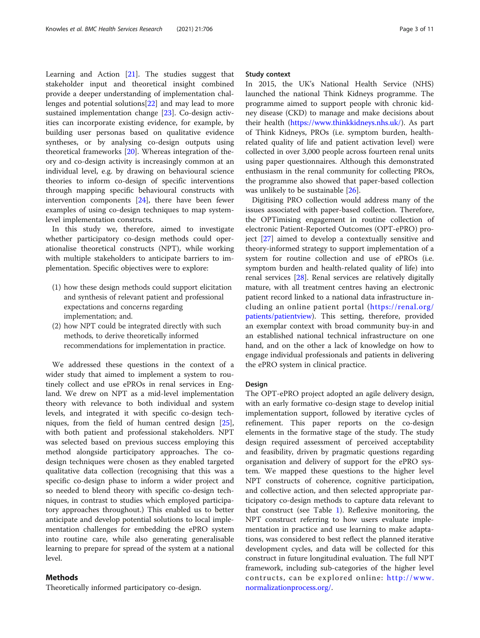Learning and Action [[21](#page-9-0)]. The studies suggest that stakeholder input and theoretical insight combined provide a deeper understanding of implementation challenges and potential solutions[[22\]](#page-9-0) and may lead to more sustained implementation change [\[23](#page-9-0)]. Co-design activities can incorporate existing evidence, for example, by building user personas based on qualitative evidence syntheses, or by analysing co-design outputs using theoretical frameworks [\[20](#page-9-0)]. Whereas integration of theory and co-design activity is increasingly common at an individual level, e.g. by drawing on behavioural science theories to inform co-design of specific interventions through mapping specific behavioural constructs with intervention components [\[24](#page-9-0)], there have been fewer examples of using co-design techniques to map systemlevel implementation constructs.

In this study we, therefore, aimed to investigate whether participatory co-design methods could operationalise theoretical constructs (NPT), while working with multiple stakeholders to anticipate barriers to implementation. Specific objectives were to explore:

- (1) how these design methods could support elicitation and synthesis of relevant patient and professional expectations and concerns regarding implementation; and.
- (2) how NPT could be integrated directly with such methods, to derive theoretically informed recommendations for implementation in practice.

We addressed these questions in the context of a wider study that aimed to implement a system to routinely collect and use ePROs in renal services in England. We drew on NPT as a mid-level implementation theory with relevance to both individual and system levels, and integrated it with specific co-design techniques, from the field of human centred design [\[25](#page-10-0)], with both patient and professional stakeholders. NPT was selected based on previous success employing this method alongside participatory approaches. The codesign techniques were chosen as they enabled targeted qualitative data collection (recognising that this was a specific co-design phase to inform a wider project and so needed to blend theory with specific co-design techniques, in contrast to studies which employed participatory approaches throughout.) This enabled us to better anticipate and develop potential solutions to local implementation challenges for embedding the ePRO system into routine care, while also generating generalisable learning to prepare for spread of the system at a national level.

## Methods

Theoretically informed participatory co-design.

#### Study context

In 2015, the UK's National Health Service (NHS) launched the national Think Kidneys programme. The programme aimed to support people with chronic kidney disease (CKD) to manage and make decisions about their health [\(https://www.thinkkidneys.nhs.uk/\)](https://www.thinkkidneys.nhs.uk/). As part of Think Kidneys, PROs (i.e. symptom burden, healthrelated quality of life and patient activation level) were collected in over 3,000 people across fourteen renal units using paper questionnaires. Although this demonstrated enthusiasm in the renal community for collecting PROs, the programme also showed that paper-based collection was unlikely to be sustainable [\[26](#page-10-0)].

Digitising PRO collection would address many of the issues associated with paper-based collection. Therefore, the OPTimising engagement in routine collection of electronic Patient-Reported Outcomes (OPT-ePRO) project [[27\]](#page-10-0) aimed to develop a contextually sensitive and theory-informed strategy to support implementation of a system for routine collection and use of ePROs (i.e. symptom burden and health-related quality of life) into renal services [[28\]](#page-10-0). Renal services are relatively digitally mature, with all treatment centres having an electronic patient record linked to a national data infrastructure including an online patient portal ([https://renal.org/](https://renal.org/patients/patientview) [patients/patientview](https://renal.org/patients/patientview)). This setting, therefore, provided an exemplar context with broad community buy-in and an established national technical infrastructure on one hand, and on the other a lack of knowledge on how to engage individual professionals and patients in delivering the ePRO system in clinical practice.

#### Design

The OPT-ePRO project adopted an agile delivery design, with an early formative co-design stage to develop initial implementation support, followed by iterative cycles of refinement. This paper reports on the co-design elements in the formative stage of the study. The study design required assessment of perceived acceptability and feasibility, driven by pragmatic questions regarding organisation and delivery of support for the ePRO system. We mapped these questions to the higher level NPT constructs of coherence, cognitive participation, and collective action, and then selected appropriate participatory co-design methods to capture data relevant to that construct (see Table [1\)](#page-3-0). Reflexive monitoring, the NPT construct referring to how users evaluate implementation in practice and use learning to make adaptations, was considered to best reflect the planned iterative development cycles, and data will be collected for this construct in future longitudinal evaluation. The full NPT framework, including sub-categories of the higher level contructs, can be explored online: [http://www.](http://www.normalizationprocess.org/) [normalizationprocess.org/](http://www.normalizationprocess.org/).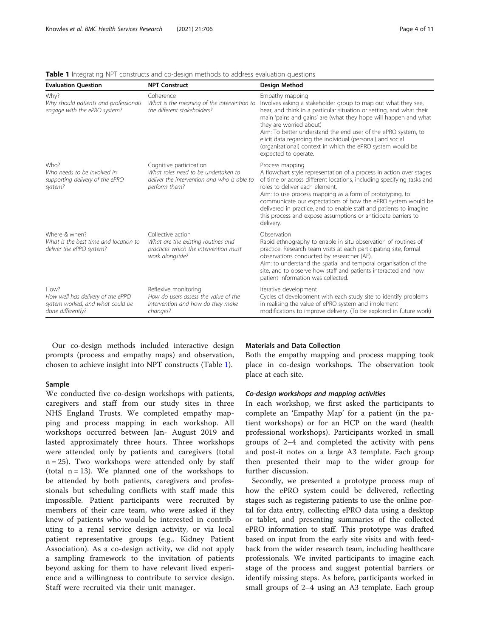| <b>Evaluation Ouestion</b>                                                                         | <b>NPT Construct</b>                                                                                                           | <b>Design Method</b>                                                                                                                                                                                                                                                                                                                                                                                                                                                              |
|----------------------------------------------------------------------------------------------------|--------------------------------------------------------------------------------------------------------------------------------|-----------------------------------------------------------------------------------------------------------------------------------------------------------------------------------------------------------------------------------------------------------------------------------------------------------------------------------------------------------------------------------------------------------------------------------------------------------------------------------|
| Why?<br>Why should patients and professionals<br>engage with the ePRO system?                      | Coherence<br>What is the meaning of the intervention to<br>the different stakeholders?                                         | Empathy mapping<br>Involves asking a stakeholder group to map out what they see,<br>hear, and think in a particular situation or setting, and what their<br>main 'pains and gains' are (what they hope will happen and what<br>they are worried about)<br>Aim: To better understand the end user of the ePRO system, to<br>elicit data regarding the individual (personal) and social<br>(organisational) context in which the ePRO system would be<br>expected to operate.       |
| Who?<br>Who needs to be involved in<br>supporting delivery of the ePRO<br>system?                  | Cognitive participation<br>What roles need to be undertaken to<br>deliver the intervention and who is able to<br>perform them? | Process mapping<br>A flowchart style representation of a process in action over stages<br>of time or across different locations, including specifying tasks and<br>roles to deliver each element.<br>Aim: to use process mapping as a form of prototyping, to<br>communicate our expectations of how the ePRO system would be<br>delivered in practice, and to enable staff and patients to imagine<br>this process and expose assumptions or anticipate barriers to<br>delivery. |
| Where & when?<br>What is the best time and location to<br>deliver the ePRO system?                 | Collective action<br>What are the existing routines and<br>practices which the intervention must<br>work alongside?            | Observation<br>Rapid ethnography to enable in situ observation of routines of<br>practice. Research team visits at each participating site, formal<br>observations conducted by researcher (AE).<br>Aim: to understand the spatial and temporal organisation of the<br>site, and to observe how staff and patients interacted and how<br>patient information was collected.                                                                                                       |
| How?<br>How well has delivery of the ePRO<br>system worked, and what could be<br>done differently? | Reflexive monitoring<br>How do users assess the value of the<br>intervention and how do they make<br>changes?                  | Iterative development<br>Cycles of development with each study site to identify problems<br>in realising the value of ePRO system and implement<br>modifications to improve delivery. (To be explored in future work)                                                                                                                                                                                                                                                             |

<span id="page-3-0"></span>Table 1 Integrating NPT constructs and co-design methods to address evaluation questions

Our co-design methods included interactive design prompts (process and empathy maps) and observation, chosen to achieve insight into NPT constructs (Table 1).

#### Sample

We conducted five co-design workshops with patients, caregivers and staff from our study sites in three NHS England Trusts. We completed empathy mapping and process mapping in each workshop. All workshops occurred between Jan- August 2019 and lasted approximately three hours. Three workshops were attended only by patients and caregivers (total  $n = 25$ ). Two workshops were attended only by staff (total  $n = 13$ ). We planned one of the workshops to be attended by both patients, caregivers and professionals but scheduling conflicts with staff made this impossible. Patient participants were recruited by members of their care team, who were asked if they knew of patients who would be interested in contributing to a renal service design activity, or via local patient representative groups (e.g., Kidney Patient Association). As a co-design activity, we did not apply a sampling framework to the invitation of patients beyond asking for them to have relevant lived experience and a willingness to contribute to service design. Staff were recruited via their unit manager.

#### Materials and Data Collection

Both the empathy mapping and process mapping took place in co-design workshops. The observation took place at each site.

### Co-design workshops and mapping activities

In each workshop, we first asked the participants to complete an 'Empathy Map' for a patient (in the patient workshops) or for an HCP on the ward (health professional workshops). Participants worked in small groups of 2–4 and completed the activity with pens and post-it notes on a large A3 template. Each group then presented their map to the wider group for further discussion.

Secondly, we presented a prototype process map of how the ePRO system could be delivered, reflecting stages such as registering patients to use the online portal for data entry, collecting ePRO data using a desktop or tablet, and presenting summaries of the collected ePRO information to staff. This prototype was drafted based on input from the early site visits and with feedback from the wider research team, including healthcare professionals. We invited participants to imagine each stage of the process and suggest potential barriers or identify missing steps. As before, participants worked in small groups of 2–4 using an A3 template. Each group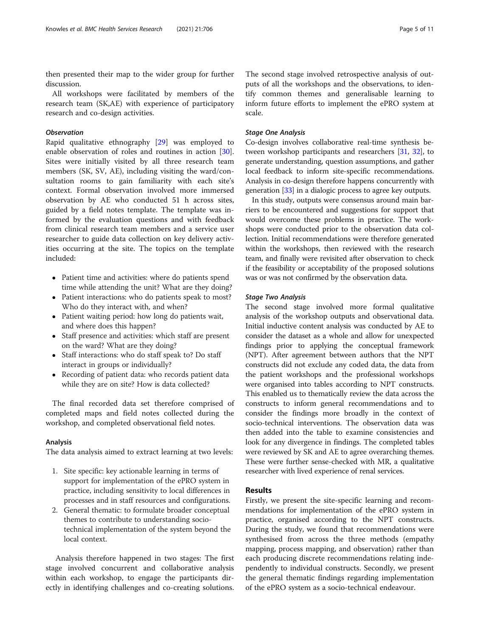then presented their map to the wider group for further discussion.

All workshops were facilitated by members of the research team (SK,AE) with experience of participatory research and co-design activities.

## **Observation**

Rapid qualitative ethnography [[29\]](#page-10-0) was employed to enable observation of roles and routines in action [\[30](#page-10-0)]. Sites were initially visited by all three research team members (SK, SV, AE), including visiting the ward/consultation rooms to gain familiarity with each site's context. Formal observation involved more immersed observation by AE who conducted 51 h across sites, guided by a field notes template. The template was informed by the evaluation questions and with feedback from clinical research team members and a service user researcher to guide data collection on key delivery activities occurring at the site. The topics on the template included:

- Patient time and activities: where do patients spend time while attending the unit? What are they doing?
- Patient interactions: who do patients speak to most? Who do they interact with, and when?
- Patient waiting period: how long do patients wait, and where does this happen?
- Staff presence and activities: which staff are present on the ward? What are they doing?
- Staff interactions: who do staff speak to? Do staff interact in groups or individually?
- Recording of patient data: who records patient data while they are on site? How is data collected?

The final recorded data set therefore comprised of completed maps and field notes collected during the workshop, and completed observational field notes.

### Analysis

The data analysis aimed to extract learning at two levels:

- 1. Site specific: key actionable learning in terms of support for implementation of the ePRO system in practice, including sensitivity to local differences in processes and in staff resources and configurations.
- 2. General thematic: to formulate broader conceptual themes to contribute to understanding sociotechnical implementation of the system beyond the local context.

Analysis therefore happened in two stages: The first stage involved concurrent and collaborative analysis within each workshop, to engage the participants directly in identifying challenges and co-creating solutions.

The second stage involved retrospective analysis of outputs of all the workshops and the observations, to identify common themes and generalisable learning to inform future efforts to implement the ePRO system at scale.

## Stage One Analysis

Co-design involves collaborative real-time synthesis between workshop participants and researchers [\[31,](#page-10-0) [32](#page-10-0)], to generate understanding, question assumptions, and gather local feedback to inform site-specific recommendations. Analysis in co-design therefore happens concurrently with generation [[33](#page-10-0)] in a dialogic process to agree key outputs.

In this study, outputs were consensus around main barriers to be encountered and suggestions for support that would overcome these problems in practice. The workshops were conducted prior to the observation data collection. Initial recommendations were therefore generated within the workshops, then reviewed with the research team, and finally were revisited after observation to check if the feasibility or acceptability of the proposed solutions was or was not confirmed by the observation data.

#### Stage Two Analysis

The second stage involved more formal qualitative analysis of the workshop outputs and observational data. Initial inductive content analysis was conducted by AE to consider the dataset as a whole and allow for unexpected findings prior to applying the conceptual framework (NPT). After agreement between authors that the NPT constructs did not exclude any coded data, the data from the patient workshops and the professional workshops were organised into tables according to NPT constructs. This enabled us to thematically review the data across the constructs to inform general recommendations and to consider the findings more broadly in the context of socio-technical interventions. The observation data was then added into the table to examine consistencies and look for any divergence in findings. The completed tables were reviewed by SK and AE to agree overarching themes. These were further sense-checked with MR, a qualitative researcher with lived experience of renal services.

#### Results

Firstly, we present the site-specific learning and recommendations for implementation of the ePRO system in practice, organised according to the NPT constructs. During the study, we found that recommendations were synthesised from across the three methods (empathy mapping, process mapping, and observation) rather than each producing discrete recommendations relating independently to individual constructs. Secondly, we present the general thematic findings regarding implementation of the ePRO system as a socio-technical endeavour.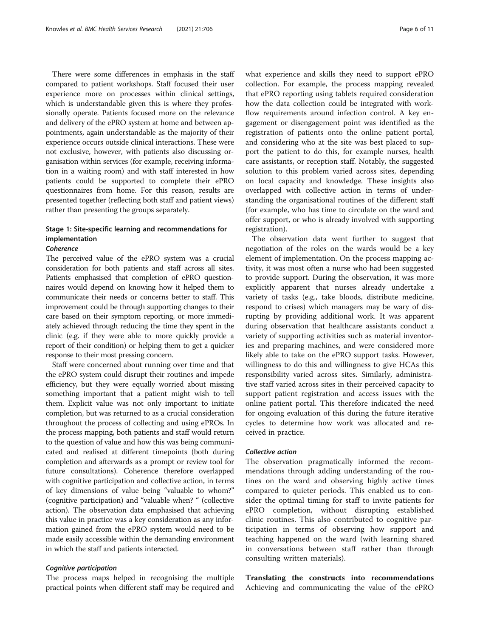There were some differences in emphasis in the staff compared to patient workshops. Staff focused their user experience more on processes within clinical settings, which is understandable given this is where they professionally operate. Patients focused more on the relevance and delivery of the ePRO system at home and between appointments, again understandable as the majority of their experience occurs outside clinical interactions. These were not exclusive, however, with patients also discussing organisation within services (for example, receiving information in a waiting room) and with staff interested in how patients could be supported to complete their ePRO questionnaires from home. For this reason, results are presented together (reflecting both staff and patient views) rather than presenting the groups separately.

## Stage 1: Site-specific learning and recommendations for implementation

### Coherence

The perceived value of the ePRO system was a crucial consideration for both patients and staff across all sites. Patients emphasised that completion of ePRO questionnaires would depend on knowing how it helped them to communicate their needs or concerns better to staff. This improvement could be through supporting changes to their care based on their symptom reporting, or more immediately achieved through reducing the time they spent in the clinic (e.g. if they were able to more quickly provide a report of their condition) or helping them to get a quicker response to their most pressing concern.

Staff were concerned about running over time and that the ePRO system could disrupt their routines and impede efficiency, but they were equally worried about missing something important that a patient might wish to tell them. Explicit value was not only important to initiate completion, but was returned to as a crucial consideration throughout the process of collecting and using ePROs. In the process mapping, both patients and staff would return to the question of value and how this was being communicated and realised at different timepoints (both during completion and afterwards as a prompt or review tool for future consultations). Coherence therefore overlapped with cognitive participation and collective action, in terms of key dimensions of value being "valuable to whom?" (cognitive participation) and "valuable when? " (collective action). The observation data emphasised that achieving this value in practice was a key consideration as any information gained from the ePRO system would need to be made easily accessible within the demanding environment in which the staff and patients interacted.

#### Cognitive participation

The process maps helped in recognising the multiple practical points when different staff may be required and what experience and skills they need to support ePRO collection. For example, the process mapping revealed that ePRO reporting using tablets required consideration how the data collection could be integrated with workflow requirements around infection control. A key engagement or disengagement point was identified as the registration of patients onto the online patient portal, and considering who at the site was best placed to support the patient to do this, for example nurses, health care assistants, or reception staff. Notably, the suggested solution to this problem varied across sites, depending on local capacity and knowledge. These insights also overlapped with collective action in terms of understanding the organisational routines of the different staff (for example, who has time to circulate on the ward and offer support, or who is already involved with supporting registration).

The observation data went further to suggest that negotiation of the roles on the wards would be a key element of implementation. On the process mapping activity, it was most often a nurse who had been suggested to provide support. During the observation, it was more explicitly apparent that nurses already undertake a variety of tasks (e.g., take bloods, distribute medicine, respond to crises) which managers may be wary of disrupting by providing additional work. It was apparent during observation that healthcare assistants conduct a variety of supporting activities such as material inventories and preparing machines, and were considered more likely able to take on the ePRO support tasks. However, willingness to do this and willingness to give HCAs this responsibility varied across sites. Similarly, administrative staff varied across sites in their perceived capacity to support patient registration and access issues with the online patient portal. This therefore indicated the need for ongoing evaluation of this during the future iterative cycles to determine how work was allocated and received in practice.

#### Collective action

The observation pragmatically informed the recommendations through adding understanding of the routines on the ward and observing highly active times compared to quieter periods. This enabled us to consider the optimal timing for staff to invite patients for ePRO completion, without disrupting established clinic routines. This also contributed to cognitive participation in terms of observing how support and teaching happened on the ward (with learning shared in conversations between staff rather than through consulting written materials).

Translating the constructs into recommendations Achieving and communicating the value of the ePRO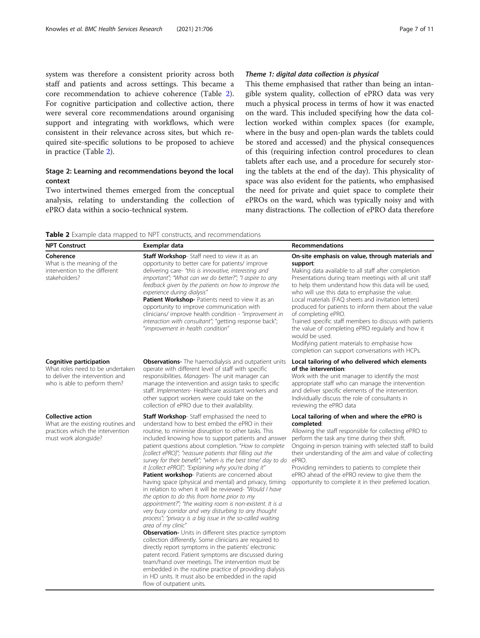system was therefore a consistent priority across both staff and patients and across settings. This became a core recommendation to achieve coherence (Table 2). For cognitive participation and collective action, there were several core recommendations around organising support and integrating with workflows, which were consistent in their relevance across sites, but which required site-specific solutions to be proposed to achieve in practice (Table 2).

## Stage 2: Learning and recommendations beyond the local context

Two intertwined themes emerged from the conceptual analysis, relating to understanding the collection of ePRO data within a socio-technical system.

## Theme 1: digital data collection is physical

This theme emphasised that rather than being an intangible system quality, collection of ePRO data was very much a physical process in terms of how it was enacted on the ward. This included specifying how the data collection worked within complex spaces (for example, where in the busy and open-plan wards the tablets could be stored and accessed) and the physical consequences of this (requiring infection control procedures to clean tablets after each use, and a procedure for securely storing the tablets at the end of the day). This physicality of space was also evident for the patients, who emphasised the need for private and quiet space to complete their ePROs on the ward, which was typically noisy and with many distractions. The collection of ePRO data therefore

Table 2 Example data mapped to NPT constructs, and recommendations

| <b>NPT Construct</b>                                                                                                           | Exemplar data                                                                                                                                                                                                                                                                                                                                                                                                                                                                                                                                                                                                                                                                                                                                                                                                                                                                                                                                                                                                                                                                                                                                                                                                                                                                                                                               | Recommendations                                                                                                                                                                                                                                                                                                                                                                                                                                                                                                                                                                                                                                                   |
|--------------------------------------------------------------------------------------------------------------------------------|---------------------------------------------------------------------------------------------------------------------------------------------------------------------------------------------------------------------------------------------------------------------------------------------------------------------------------------------------------------------------------------------------------------------------------------------------------------------------------------------------------------------------------------------------------------------------------------------------------------------------------------------------------------------------------------------------------------------------------------------------------------------------------------------------------------------------------------------------------------------------------------------------------------------------------------------------------------------------------------------------------------------------------------------------------------------------------------------------------------------------------------------------------------------------------------------------------------------------------------------------------------------------------------------------------------------------------------------|-------------------------------------------------------------------------------------------------------------------------------------------------------------------------------------------------------------------------------------------------------------------------------------------------------------------------------------------------------------------------------------------------------------------------------------------------------------------------------------------------------------------------------------------------------------------------------------------------------------------------------------------------------------------|
| Coherence<br>What is the meaning of the<br>intervention to the different<br>stakeholders?                                      | Staff Workshop-Staff need to view it as an<br>opportunity to better care for patients/improve<br>delivering care- "this is innovative, interesting and<br>important"; "What can we do better?"; "I aspire to any<br>feedback given by the patients on how to improve the<br>experience during dialysis"<br>Patient Workshop- Patients need to view it as an<br>opportunity to improve communication with<br>clinicians/ improve health condition - "improvement in<br>interaction with consultant"; "getting response back";<br>"improvement in health condition"                                                                                                                                                                                                                                                                                                                                                                                                                                                                                                                                                                                                                                                                                                                                                                           | On-site emphasis on value, through materials and<br>support:<br>Making data available to all staff after completion<br>Presentations during team meetings with all unit staff<br>to help them understand how this data will be used,<br>who will use this data to emphasise the value.<br>Local materials (FAQ sheets and invitation letters)<br>produced for patients to inform them about the value<br>of completing ePRO.<br>Trained specific staff members to discuss with patients<br>the value of completing ePRO regularly and how it<br>would be used.<br>Modifying patient materials to emphasise how<br>completion can support conversations with HCPs. |
| Cognitive participation<br>What roles need to be undertaken<br>to deliver the intervention and<br>who is able to perform them? | <b>Observations-</b> The haemodialysis and outpatient units<br>operate with different level of staff with specific<br>responsibilities. Managers- The unit manager can<br>manage the intervention and assign tasks to specific<br>staff. Implementers- Healthcare assistant workers and<br>other support workers were could take on the<br>collection of ePRO due to their availability.                                                                                                                                                                                                                                                                                                                                                                                                                                                                                                                                                                                                                                                                                                                                                                                                                                                                                                                                                    | Local tailoring of who delivered which elements<br>of the intervention:<br>Work with the unit manager to identify the most<br>appropriate staff who can manage the intervention<br>and deliver specific elements of the intervention.<br>Individually discuss the role of consultants in<br>reviewing the ePRO data                                                                                                                                                                                                                                                                                                                                               |
| <b>Collective action</b><br>What are the existing routines and<br>practices which the intervention<br>must work alongside?     | Staff Workshop-Staff emphasised the need to<br>understand how to best embed the ePRO in their<br>routine, to minimise disruption to other tasks. This<br>included knowing how to support patients and answer<br>patient questions about completion. "How to complete<br>[collect ePRO]"; "reassure patients that filling out the<br>survey for their benefit"; "when is the best time/ day to do ePRO.<br>it [collect ePRO]"; "Explaining why you're doing it"<br>Patient workshop- Patients are concerned about<br>having space (physical and mental) and privacy, timing<br>in relation to when it will be reviewed- "Would I have<br>the option to do this from home prior to my<br>appointment?"; "the waiting room is non-existent. It is a<br>very busy corridor and very disturbing to any thought<br>process"; "privacy is a big issue in the so-called waiting<br>area of my clinic"<br><b>Observation-</b> Units in different sites practice symptom<br>collection differently. Some clinicians are required to<br>directly report symptoms in the patients' electronic<br>patent record. Patient symptoms are discussed during<br>team/hand over meetings. The intervention must be<br>embedded in the routine practice of providing dialysis<br>in HD units. It must also be embedded in the rapid<br>flow of outpatient units. | Local tailoring of when and where the ePRO is<br>completed:<br>Allowing the staff responsible for collecting ePRO to<br>perform the task any time during their shift.<br>Ongoing in-person training with selected staff to build<br>their understanding of the aim and value of collecting<br>Providing reminders to patients to complete their<br>ePRO ahead of the ePRO review to give them the<br>opportunity to complete it in their preferred location.                                                                                                                                                                                                      |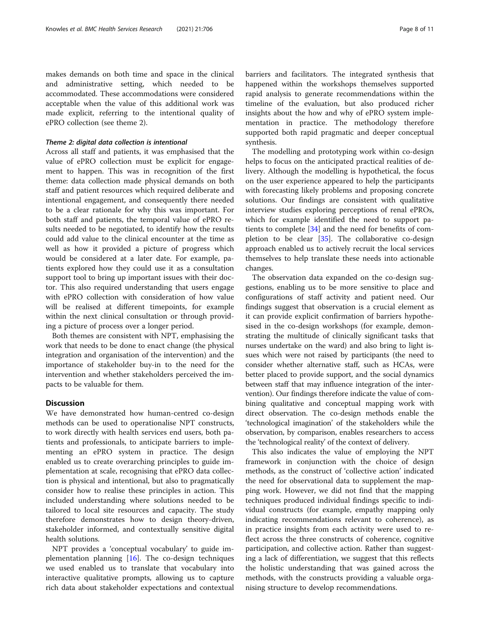makes demands on both time and space in the clinical and administrative setting, which needed to be accommodated. These accommodations were considered acceptable when the value of this additional work was made explicit, referring to the intentional quality of ePRO collection (see theme 2).

## Theme 2: digital data collection is intentional

Across all staff and patients, it was emphasised that the value of ePRO collection must be explicit for engagement to happen. This was in recognition of the first theme: data collection made physical demands on both staff and patient resources which required deliberate and intentional engagement, and consequently there needed to be a clear rationale for why this was important. For both staff and patients, the temporal value of ePRO results needed to be negotiated, to identify how the results could add value to the clinical encounter at the time as well as how it provided a picture of progress which would be considered at a later date. For example, patients explored how they could use it as a consultation support tool to bring up important issues with their doctor. This also required understanding that users engage with ePRO collection with consideration of how value will be realised at different timepoints, for example within the next clinical consultation or through providing a picture of process over a longer period.

Both themes are consistent with NPT, emphasising the work that needs to be done to enact change (the physical integration and organisation of the intervention) and the importance of stakeholder buy-in to the need for the intervention and whether stakeholders perceived the impacts to be valuable for them.

### **Discussion**

We have demonstrated how human-centred co-design methods can be used to operationalise NPT constructs, to work directly with health services end users, both patients and professionals, to anticipate barriers to implementing an ePRO system in practice. The design enabled us to create overarching principles to guide implementation at scale, recognising that ePRO data collection is physical and intentional, but also to pragmatically consider how to realise these principles in action. This included understanding where solutions needed to be tailored to local site resources and capacity. The study therefore demonstrates how to design theory-driven, stakeholder informed, and contextually sensitive digital health solutions.

NPT provides a 'conceptual vocabulary' to guide implementation planning  $[16]$ . The co-design techniques we used enabled us to translate that vocabulary into interactive qualitative prompts, allowing us to capture rich data about stakeholder expectations and contextual

barriers and facilitators. The integrated synthesis that happened within the workshops themselves supported rapid analysis to generate recommendations within the timeline of the evaluation, but also produced richer insights about the how and why of ePRO system implementation in practice. The methodology therefore supported both rapid pragmatic and deeper conceptual synthesis.

The modelling and prototyping work within co-design helps to focus on the anticipated practical realities of delivery. Although the modelling is hypothetical, the focus on the user experience appeared to help the participants with forecasting likely problems and proposing concrete solutions. Our findings are consistent with qualitative interview studies exploring perceptions of renal ePROs, which for example identified the need to support patients to complete [[34\]](#page-10-0) and the need for benefits of completion to be clear [[35\]](#page-10-0). The collaborative co-design approach enabled us to actively recruit the local services themselves to help translate these needs into actionable changes.

The observation data expanded on the co-design suggestions, enabling us to be more sensitive to place and configurations of staff activity and patient need. Our findings suggest that observation is a crucial element as it can provide explicit confirmation of barriers hypothesised in the co-design workshops (for example, demonstrating the multitude of clinically significant tasks that nurses undertake on the ward) and also bring to light issues which were not raised by participants (the need to consider whether alternative staff, such as HCAs, were better placed to provide support, and the social dynamics between staff that may influence integration of the intervention). Our findings therefore indicate the value of combining qualitative and conceptual mapping work with direct observation. The co-design methods enable the 'technological imagination' of the stakeholders while the observation, by comparison, enables researchers to access the 'technological reality' of the context of delivery.

This also indicates the value of employing the NPT framework in conjunction with the choice of design methods, as the construct of 'collective action' indicated the need for observational data to supplement the mapping work. However, we did not find that the mapping techniques produced individual findings specific to individual constructs (for example, empathy mapping only indicating recommendations relevant to coherence), as in practice insights from each activity were used to reflect across the three constructs of coherence, cognitive participation, and collective action. Rather than suggesting a lack of differentiation, we suggest that this reflects the holistic understanding that was gained across the methods, with the constructs providing a valuable organising structure to develop recommendations.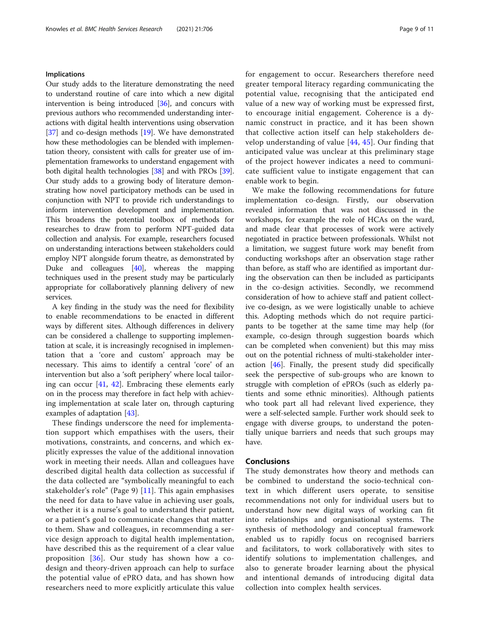### Implications

Our study adds to the literature demonstrating the need to understand routine of care into which a new digital intervention is being introduced [\[36\]](#page-10-0), and concurs with previous authors who recommended understanding interactions with digital health interventions using observation [[37](#page-10-0)] and co-design methods [[19](#page-9-0)]. We have demonstrated how these methodologies can be blended with implementation theory, consistent with calls for greater use of implementation frameworks to understand engagement with both digital health technologies [\[38\]](#page-10-0) and with PROs [[39](#page-10-0)]. Our study adds to a growing body of literature demonstrating how novel participatory methods can be used in conjunction with NPT to provide rich understandings to inform intervention development and implementation. This broadens the potential toolbox of methods for researches to draw from to perform NPT-guided data collection and analysis. For example, researchers focused on understanding interactions between stakeholders could employ NPT alongside forum theatre, as demonstrated by Duke and colleagues [\[40\]](#page-10-0), whereas the mapping techniques used in the present study may be particularly appropriate for collaboratively planning delivery of new services.

A key finding in the study was the need for flexibility to enable recommendations to be enacted in different ways by different sites. Although differences in delivery can be considered a challenge to supporting implementation at scale, it is increasingly recognised in implementation that a 'core and custom' approach may be necessary. This aims to identify a central 'core' of an intervention but also a 'soft periphery' where local tailoring can occur [\[41,](#page-10-0) [42\]](#page-10-0). Embracing these elements early on in the process may therefore in fact help with achieving implementation at scale later on, through capturing examples of adaptation [\[43](#page-10-0)].

These findings underscore the need for implementation support which empathises with the users, their motivations, constraints, and concerns, and which explicitly expresses the value of the additional innovation work in meeting their needs. Allan and colleagues have described digital health data collection as successful if the data collected are "symbolically meaningful to each stakeholder's role" (Page 9) [[11\]](#page-9-0). This again emphasises the need for data to have value in achieving user goals, whether it is a nurse's goal to understand their patient, or a patient's goal to communicate changes that matter to them. Shaw and colleagues, in recommending a service design approach to digital health implementation, have described this as the requirement of a clear value proposition [[36\]](#page-10-0). Our study has shown how a codesign and theory-driven approach can help to surface the potential value of ePRO data, and has shown how researchers need to more explicitly articulate this value for engagement to occur. Researchers therefore need greater temporal literacy regarding communicating the potential value, recognising that the anticipated end value of a new way of working must be expressed first, to encourage initial engagement. Coherence is a dynamic construct in practice, and it has been shown that collective action itself can help stakeholders develop understanding of value [\[44](#page-10-0), [45\]](#page-10-0). Our finding that anticipated value was unclear at this preliminary stage of the project however indicates a need to communicate sufficient value to instigate engagement that can enable work to begin.

We make the following recommendations for future implementation co-design. Firstly, our observation revealed information that was not discussed in the workshops, for example the role of HCAs on the ward, and made clear that processes of work were actively negotiated in practice between professionals. Whilst not a limitation, we suggest future work may benefit from conducting workshops after an observation stage rather than before, as staff who are identified as important during the observation can then be included as participants in the co-design activities. Secondly, we recommend consideration of how to achieve staff and patient collective co-design, as we were logistically unable to achieve this. Adopting methods which do not require participants to be together at the same time may help (for example, co-design through suggestion boards which can be completed when convenient) but this may miss out on the potential richness of multi-stakeholder interaction [[46](#page-10-0)]. Finally, the present study did specifically seek the perspective of sub-groups who are known to struggle with completion of ePROs (such as elderly patients and some ethnic minorities). Although patients who took part all had relevant lived experience, they were a self-selected sample. Further work should seek to engage with diverse groups, to understand the potentially unique barriers and needs that such groups may have.

## Conclusions

The study demonstrates how theory and methods can be combined to understand the socio-technical context in which different users operate, to sensitise recommendations not only for individual users but to understand how new digital ways of working can fit into relationships and organisational systems. The synthesis of methodology and conceptual framework enabled us to rapidly focus on recognised barriers and facilitators, to work collaboratively with sites to identify solutions to implementation challenges, and also to generate broader learning about the physical and intentional demands of introducing digital data collection into complex health services.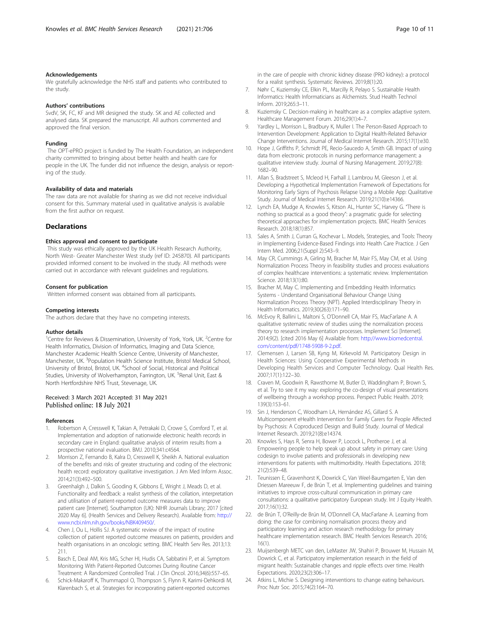#### <span id="page-9-0"></span>Acknowledgements

We gratefully acknowledge the NHS staff and patients who contributed to the study.

#### Authors' contributions

SvdV, SK, FC, KF and MR designed the study. SK and AE collected and analysed data. SK prepared the manuscript. All authors commented and approved the final version.

#### Funding

The OPT-ePRO project is funded by The Health Foundation, an independent charity committed to bringing about better health and health care for people in the UK. The funder did not influence the design, analysis or reporting of the study.

### Availability of data and materials

The raw data are not available for sharing as we did not receive individual consent for this. Summary material used in qualitative analysis is available from the first author on request.

## **Declarations**

#### Ethics approval and consent to participate

This study was ethically approved by the UK Health Research Authority, North West- Greater Manchester West study (ref ID: 245870). All participants provided informed consent to be involved in the study. All methods were carried out in accordance with relevant guidelines and regulations.

#### Consent for publication

Written informed consent was obtained from all participants.

#### Competing interests

The authors declare that they have no competing interests.

#### Author details

<sup>1</sup> Centre for Reviews & Dissemination, University of York, York, UK.<sup>2</sup> Centre for Health Informatics, Division of Informatics, Imaging and Data Science, Manchester Academic Health Science Centre, University of Manchester, Manchester, UK. <sup>3</sup>Population Health Science Institute, Bristol Medical School, University of Bristol, Bristol, UK. <sup>4</sup>School of Social, Historical and Political Studies, University of Wolverhampton, Farrington, UK. <sup>5</sup>Renal Unit, East & North Hertfordshire NHS Trust, Stevenage, UK.

## Received: 3 March 2021 Accepted: 31 May 2021 Published online: 18 July 2021

#### References

- 1. Robertson A, Cresswell K, Takian A, Petrakaki D, Crowe S, Cornford T, et al. Implementation and adoption of nationwide electronic health records in secondary care in England: qualitative analysis of interim results from a prospective national evaluation. BMJ. 2010;341:c4564.
- 2. Morrison Z, Fernando B, Kalra D, Cresswell K, Sheikh A. National evaluation of the benefits and risks of greater structuring and coding of the electronic health record: exploratory qualitative investigation. J Am Med Inform Assoc. 2014;21(3):492–500.
- 3. Greenhalgh J, Dalkin S, Gooding K, Gibbons E, Wright J, Meads D, et al. Functionality and feedback: a realist synthesis of the collation, interpretation and utilisation of patient-reported outcome measures data to improve patient care [Internet]. Southampton (UK): NIHR Journals Library; 2017 [cited 2020 May 6]. (Health Services and Delivery Research). Available from: [http://](http://www.ncbi.nlm.nih.gov/books/NBK409450/) [www.ncbi.nlm.nih.gov/books/NBK409450/](http://www.ncbi.nlm.nih.gov/books/NBK409450/).
- 4. Chen J, Ou L, Hollis SJ. A systematic review of the impact of routine collection of patient reported outcome measures on patients, providers and health organisations in an oncologic setting. BMC Health Serv Res. 2013;13: 211.
- 5. Basch E, Deal AM, Kris MG, Scher HI, Hudis CA, Sabbatini P, et al. Symptom Monitoring With Patient-Reported Outcomes During Routine Cancer Treatment: A Randomized Controlled Trial. J Clin Oncol. 2016;34(6):557–65.
- 6. Schick-Makaroff K, Thummapol O, Thompson S, Flynn R, Karimi-Dehkordi M, Klarenbach S, et al. Strategies for incorporating patient-reported outcomes

in the care of people with chronic kidney disease (PRO kidney): a protocol for a realist synthesis. Systematic Reviews. 2019;8(1):20.

- 7. Nøhr C, Kuziemsky CE, Elkin PL, Marcilly R, Pelayo S. Sustainable Health Informatics: Health Informaticians as Alchemists. Stud Health Technol Inform. 2019;265:3–11.
- 8. Kuziemsky C. Decision-making in healthcare as a complex adaptive system. Healthcare Management Forum. 2016;29(1):4–7.
- 9. Yardley L, Morrison L, Bradbury K, Muller I. The Person-Based Approach to Intervention Development: Application to Digital Health-Related Behavior Change Interventions. Journal of Medical Internet Research. 2015;17(1):e30.
- 10. Hope J, Griffiths P, Schmidt PE, Recio-Saucedo A, Smith GB. Impact of using data from electronic protocols in nursing performance management: a qualitative interview study. Journal of Nursing Management. 2019;27(8): 1682–90.
- 11. Allan S, Bradstreet S, Mcleod H, Farhall J, Lambrou M, Gleeson J, et al. Developing a Hypothetical Implementation Framework of Expectations for Monitoring Early Signs of Psychosis Relapse Using a Mobile App: Qualitative Study. Journal of Medical Internet Research. 2019;21(10):e14366.
- 12. Lynch EA, Mudge A, Knowles S, Kitson AL, Hunter SC, Harvey G. "There is nothing so practical as a good theory": a pragmatic guide for selecting theoretical approaches for implementation projects. BMC Health Services Research. 2018;18(1):857.
- 13. Sales A, Smith J, Curran G, Kochevar L. Models, Strategies, and Tools: Theory in Implementing Evidence-Based Findings into Health Care Practice. J Gen Intern Med. 2006;21(Suppl 2):S43–9.
- 14. May CR, Cummings A, Girling M, Bracher M, Mair FS, May CM, et al. Using Normalization Process Theory in feasibility studies and process evaluations of complex healthcare interventions: a systematic review. Implementation Science. 2018;13(1):80.
- 15. Bracher M, May C. Implementing and Embedding Health Informatics Systems - Understand Organisational Behaviour Change Using Normalization Process Theory (NPT). Applied Interdisciplinary Theory in Health Informatics. 2019;30(263):171–90.
- 16. McEvoy R, Ballini L, Maltoni S, O'Donnell CA, Mair FS, MacFarlane A. A qualitative systematic review of studies using the normalization process theory to research implementation processes. Implement Sci [Internet]. 2014;9(2). [cited 2016 May 6] Available from: [http://www.biomedcentral.](http://www.biomedcentral.com/content/pdf/1748-5908-9-2.pdf) [com/content/pdf/1748-5908-9-2.pdf.](http://www.biomedcentral.com/content/pdf/1748-5908-9-2.pdf)
- 17. Clemensen J, Larsen SB, Kyng M, Kirkevold M. Participatory Design in Health Sciences: Using Cooperative Experimental Methods in Developing Health Services and Computer Technology. Qual Health Res. 2007;17(1):122–30.
- 18. Craven M, Goodwin R, Rawsthorne M, Butler D, Waddingham P, Brown S, et al. Try to see it my way: exploring the co-design of visual presentations of wellbeing through a workshop process. Perspect Public Health. 2019; 139(3):153–61.
- 19. Sin J, Henderson C, Woodham LA, Hernández AS, Gillard S. A Multicomponent eHealth Intervention for Family Carers for People Affected by Psychosis: A Coproduced Design and Build Study. Journal of Medical Internet Research. 2019;21(8):e14374.
- 20. Knowles S, Hays R, Senra H, Bower P, Locock L, Protheroe J, et al. Empowering people to help speak up about safety in primary care: Using codesign to involve patients and professionals in developing new interventions for patients with multimorbidity. Health Expectations. 2018; 21(2):539–48.
- 21. Teunissen E, Gravenhorst K, Dowrick C, Van Weel-Baumgarten E, Van den Driessen Mareeuw F, de Brún T, et al. Implementing guidelines and training initiatives to improve cross-cultural communication in primary care consultations: a qualitative participatory European study. Int J Equity Health. 2017;16(1):32.
- 22. de Brún T, O'Reilly-de Brún M, O'Donnell CA, MacFarlane A. Learning from doing: the case for combining normalisation process theory and participatory learning and action research methodology for primary healthcare implementation research. BMC Health Services Research. 2016; 16(1).
- 23. Muijsenbergh METC van den, LeMaster JW, Shahiri P, Brouwer M, Hussain M, Dowrick C, et al. Participatory implementation research in the field of migrant health: Sustainable changes and ripple effects over time. Health Expectations. 2020;23(2):306–17.
- 24. Atkins L, Michie S. Designing interventions to change eating behaviours. Proc Nutr Soc. 2015;74(2):164–70.